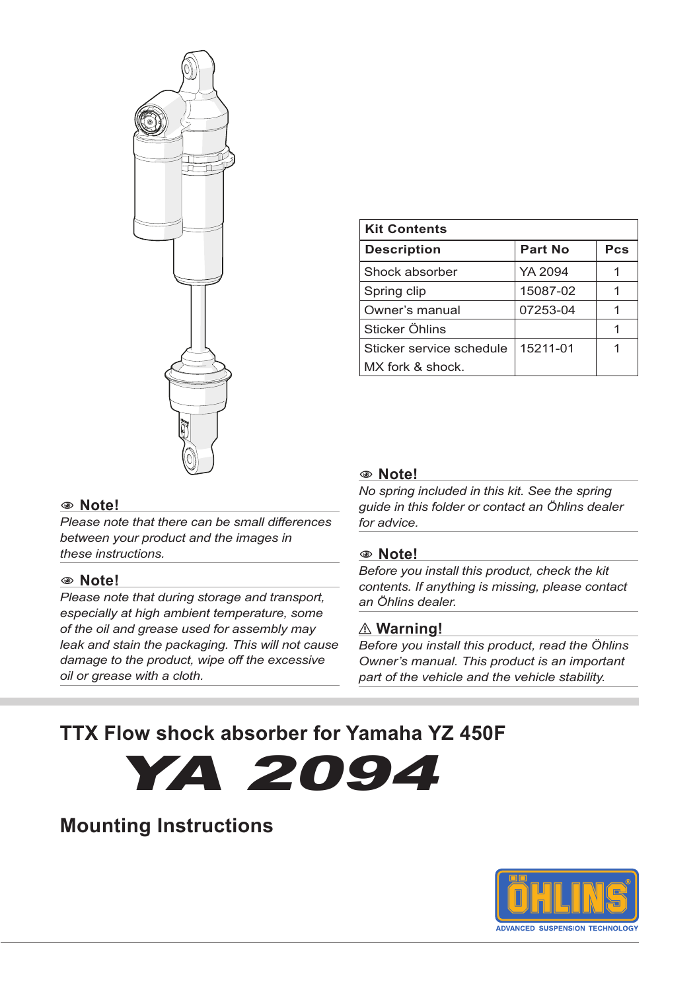

| <b>Kit Contents</b>      |          |     |  |
|--------------------------|----------|-----|--|
| <b>Description</b>       | Part No  | Pcs |  |
| Shock absorber           | YA 2094  |     |  |
| Spring clip              | 15087-02 |     |  |
| Owner's manual           | 07253-04 |     |  |
| Sticker Öhlins           |          |     |  |
| Sticker service schedule | 15211-01 |     |  |
| MX fork & shock.         |          |     |  |

#### 1 **Note!**

*Please note that there can be small differences between your product and the images in these instructions.*

#### 1 **Note!**

*Please note that during storage and transport, especially at high ambient temperature, some of the oil and grease used for assembly may leak and stain the packaging. This will not cause damage to the product, wipe off the excessive oil or grease with a cloth.*

#### 1 **Note!**

*No spring included in this kit. See the spring guide in this folder or contact an Öhlins dealer for advice.*

#### 1 **Note!**

*Before you install this product, check the kit contents. If anything is missing, please contact an Öhlins dealer.*

#### ⚠ **Warning!**

*Before you install this product, read the Öhlins Owner's manual. This product is an important part of the vehicle and the vehicle stability.*

# **TTX Flow shock absorber for Yamaha YZ 450F**



## **Mounting Instructions**

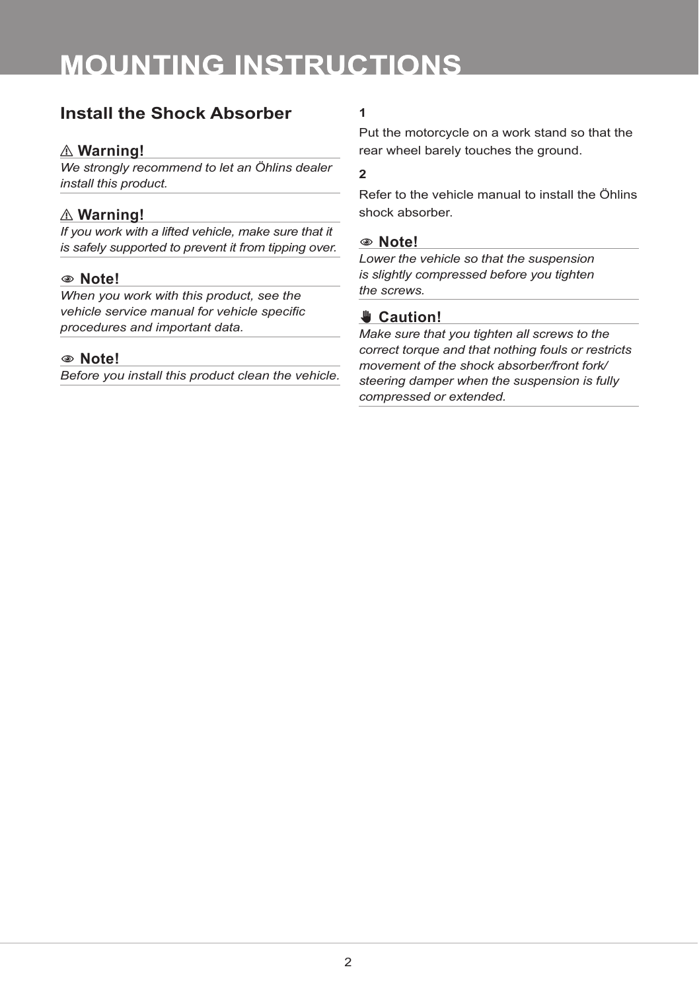# **MOUNTING INSTRUCTIONS**

### **Install the Shock Absorber 1**

#### ⚠ **Warning!**

*We strongly recommend to let an Öhlins dealer install this product.*

### ⚠ **Warning!**

*If you work with a lifted vehicle, make sure that it is safely supported to prevent it from tipping over.*

#### 1 **Note!**

*When you work with this product, see the vehicle service manual for vehicle specific procedures and important data.*

#### 1 **Note!**

*Before you install this product clean the vehicle.*

Put the motorcycle on a work stand so that the rear wheel barely touches the ground.

#### **2**

Refer to the vehicle manual to install the Öhlins shock absorber.

#### 1 **Note!**

*Lower the vehicle so that the suspension is slightly compressed before you tighten the screws.*

### ✋**✋ Caution!**

*Make sure that you tighten all screws to the correct torque and that nothing fouls or restricts movement of the shock absorber/front fork/ steering damper when the suspension is fully compressed or extended.*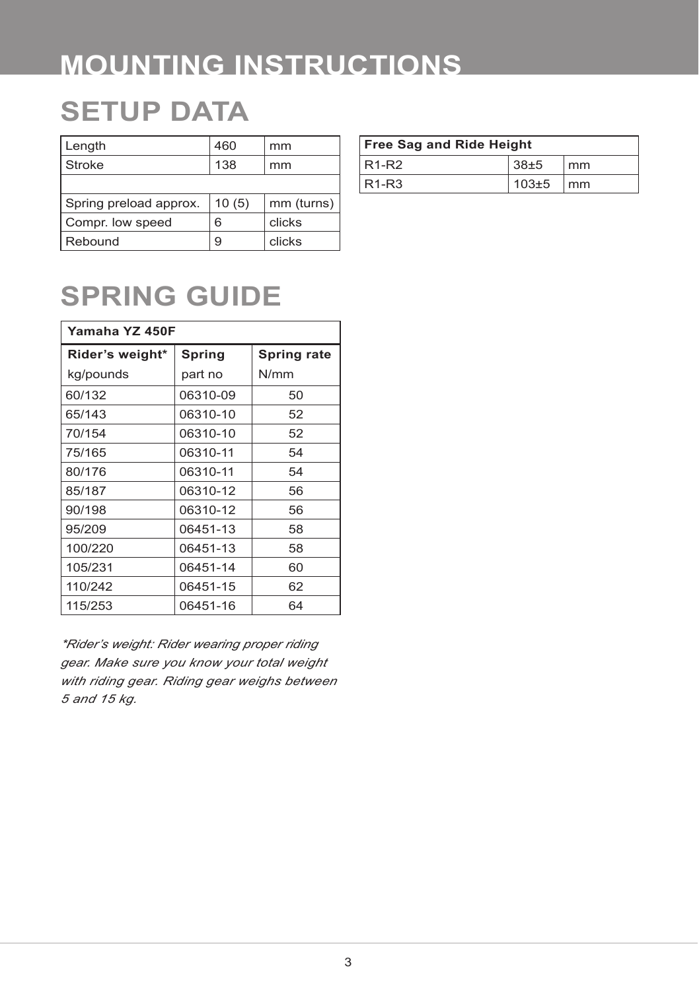# **MOUNTING INSTRUCTIONS**

# **SETUP DATA**

| Length                 | 460   | mm         |
|------------------------|-------|------------|
| Stroke                 | 138   | mm         |
|                        |       |            |
| Spring preload approx. | 10(5) | mm (turns) |
| Compr. low speed       | 6     | clicks     |
| Rebound                | 9     | clicks     |

| <b>Free Sag and Ride Height</b> |             |                        |  |
|---------------------------------|-------------|------------------------|--|
| $R1-R2$                         | $38+5$      | mm                     |  |
| $R1-R3$                         | $103 \pm 5$ | $\mathsf{m}\mathsf{m}$ |  |

# **SPRING GUIDE**

| Yamaha YZ 450F  |          |             |  |  |
|-----------------|----------|-------------|--|--|
| Rider's weight* | Spring   | Spring rate |  |  |
| kg/pounds       | part no  | N/mm        |  |  |
| 60/132          | 06310-09 | 50          |  |  |
| 65/143          | 06310-10 | 52          |  |  |
| 70/154          | 06310-10 | 52          |  |  |
| 75/165          | 06310-11 | 54          |  |  |
| 80/176          | 06310-11 | 54          |  |  |
| 85/187          | 06310-12 | 56          |  |  |
| 90/198          | 06310-12 | 56          |  |  |
| 95/209          | 06451-13 | 58          |  |  |
| 100/220         | 06451-13 | 58          |  |  |
| 105/231         | 06451-14 | 60          |  |  |
| 110/242         | 06451-15 | 62          |  |  |
| 115/253         | 06451-16 | 64          |  |  |

*\*Rider's weight: Rider wearing proper riding gear. Make sure you know your total weight with riding gear. Riding gear weighs between 5 and 15 kg.*